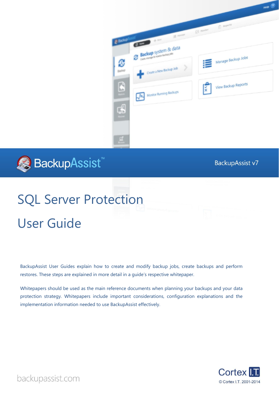





**BackupAssist v7** 

# SQL Server Protection User Guide

BackupAssist User Guides explain how to create and modify backup jobs, create backups and perform restores. These steps are explained in more detail in a guide's respective whitepaper.

Whitepapers should be used as the main reference documents when planning your backups and your data protection strategy. Whitepapers include important considerations, configuration explanations and the implementation information needed to use BackupAssist effectively.



backupassist.com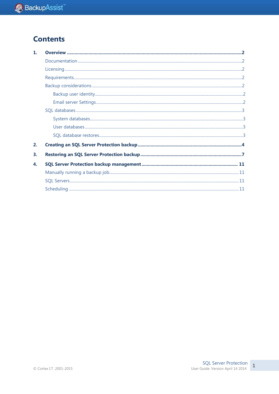# **Contents**

| 1  |  |
|----|--|
|    |  |
|    |  |
|    |  |
|    |  |
|    |  |
|    |  |
|    |  |
|    |  |
|    |  |
|    |  |
| 2. |  |
| 3. |  |
| 4. |  |
|    |  |
|    |  |
|    |  |
|    |  |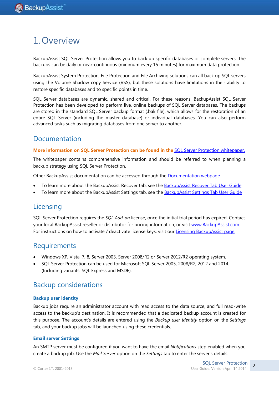# 1.Overview

BackupAssist SQL Server Protection allows you to back up specific databases or complete servers. The backups can be daily or near-continuous (minimum every 15 minutes) for maximum data protection.

BackupAssist System Protection, File Protection and File Archiving solutions can all back up SQL servers using the Volume Shadow copy Service (VSS), but these solutions have limitations in their ability to restore specific databases and to specific points in time.

SQL Server databases are dynamic, shared and critical. For these reasons, BackupAssist SQL Server Protection has been developed to perform live, online backups of SQL Server databases. The backups are stored in the standard SQL Server backup format (.bak file), which allows for the restoration of an entire SQL Server (including the master database) or individual databases. You can also perform advanced tasks such as migrating databases from one server to another.

### Documentation

#### **More information on SQL Server Protection can be found in the** [SQL Server Protection whitepaper.](http://www.backupassist.com/downloads/whitepapers/sql_whitepaper.pdf)

The whitepaper contains comprehensive information and should be referred to when planning a backup strategy using SQL Server Protection.

Other BackupAssist documentation can be accessed through the [Documentation webpage](http://www.backupassist.com/education/#backupassist_v7)

- To learn more about the BackupAssist Recover tab, see the [BackupAssist Recover Tab User Guide](http://www.backupassist.com/education/whitepapers/recover_whitepaper.html)
- To learn more about the BackupAssist Settings tab, see the **BackupAssist Settings Tab User Guide**

# Licensing

SQL Server Protection requires the *SQL Add-on* license, once the initial trial period has expired. Contact your local BackupAssist reseller or distributor for pricing information, or visit [www.BackupAssist.com.](http://www.backupassist.com/) For instructions on how to activate / deactivate license keys, visit our [Licensing BackupAssist page.](http://www.backupassist.com/education/whitepapers/licensing_backupassist.html)

### **Requirements**

- Windows XP, Vista, 7, 8, Server 2003, Server 2008/R2 or Server 2012/R2 operating system.
- SQL Server Protection can be used for Microsoft SQL Server 2005, 2008/R2, 2012 and 2014. (Including variants: SQL Express and MSDE).

### Backup considerations

#### **Backup user identity**

Backup jobs require an administrator account with read access to the data source, and full read-write access to the backup's destination. It is recommended that a dedicated backup account is created for this purpose. The account's details are entered using the *Backup user identity* option on the *Settings* tab, and your backup jobs will be launched using these credentials.

#### **Email server Settings**

An SMTP server must be configured if you want to have the email *Notifications* step enabled when you create a backup job. Use the *Mail Server* option on the *Settings* tab to enter the server's details.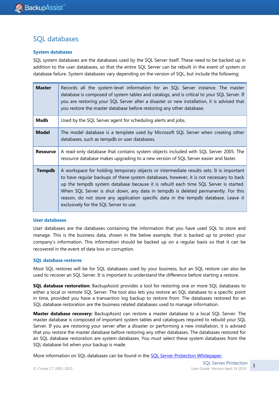# <span id="page-3-0"></span>SQL databases

#### **System databases**

SQL system databases are the databases used by the SQL Server itself. These need to be backed up in addition to the user databases, so that the entire SQL Server can be rebuilt in the event of system or database failure. System databases vary depending on the version of SQL, but include the following:

| <b>Master</b>                                                                                                                                     | Records all the system-level information for an SQL Server instance. The master<br>database is composed of system tables and catalogs, and is critical to your SQL Server. If<br>you are restoring your SQL Server after a disaster or new installation, it is advised that<br>you restore the master database before restoring any other database.                                                                                                                                              |  |  |
|---------------------------------------------------------------------------------------------------------------------------------------------------|--------------------------------------------------------------------------------------------------------------------------------------------------------------------------------------------------------------------------------------------------------------------------------------------------------------------------------------------------------------------------------------------------------------------------------------------------------------------------------------------------|--|--|
| <b>Msdb</b>                                                                                                                                       | Used by the SQL Server agent for scheduling alerts and jobs.                                                                                                                                                                                                                                                                                                                                                                                                                                     |  |  |
| <b>Model</b><br>The model database is a template used by Microsoft SQL Server when creating other<br>databases, such as tempdb or user databases. |                                                                                                                                                                                                                                                                                                                                                                                                                                                                                                  |  |  |
| <b>Resource</b>                                                                                                                                   | A read-only database that contains system objects included with SQL Server 2005. The<br>resource database makes upgrading to a new version of SQL Server easier and faster.                                                                                                                                                                                                                                                                                                                      |  |  |
| <b>Tempdb</b>                                                                                                                                     | A workspace for holding temporary objects or intermediate results sets. It is important<br>to have regular backups of these system databases, however, it is not necessary to back<br>up the tempdb system database because it is rebuilt each time SQL Server is started.<br>When SQL Server is shut down, any data in tempdb is deleted permanently. For this<br>reason, do not store any application specific data in the tempdb database. Leave it<br>exclusively for the SQL Server to use. |  |  |

#### **User databases**

User databases are the databases containing the information that you have used SQL to store and manage. This is the business data, shown in the below example, that is backed up to protect your company's information. This information should be backed up on a regular basis so that it can be recovered in the event of data loss or corruption.

#### **SQL database restores**

Most SQL restores will be for SQL databases used by your business, but an SQL restore can also be used to recover an SQL Server. It is important to understand the difference before starting a restore.

**SQL database restoration:** BackupAssist provides a tool for restoring one or more SQL databases to either a local or remote SQL Server. The tool also lets you restore an SQL database to a specific point in time, provided you have a transaction log backup to restore from. The databases restored for an SQL database restoration are the business related databases used to manage information.

**Master database recovery:** BackupAssist can restore a master database to a local SQL Server. The master database is composed of important system tables and catalogues required to rebuild your SQL Server. If you are restoring your server after a disaster or performing a new installation, it is advised that you restore the master database before restoring any other databases. The databases restored for an SQL database restoration are system databases. You must select these system databases from the SQL database list when your backup is made.

More information on SQL databases can be found in th[e SQL Server Protection Whitepaper.](http://www.backupassist.com/education/whitepapers/SQL_whitepaper.html)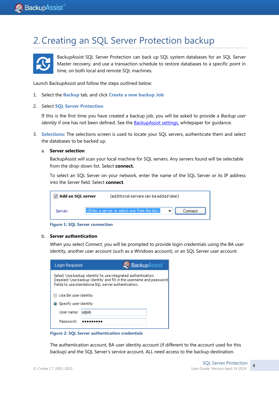# 2.Creating an SQL Server Protection backup



BackupAssist SQL Server Protection can back up SQL system databases for an SQL Server Master recovery, and use a transaction schedule to restore databases to a specific point in time, on both local and remote SQL machines.

Launch BackupAssist and follow the steps outlined below:

- 1. Select the **Backup** tab, and click **Create a new backup Job**
- 2. Select **SQL Server Protection**

If this is the first time you have created a backup job, you will be asked to provide a *Backup user identity* if one has not been defined. See the **BackupAssist settings**, whitepaper for guidance.

- 3. **Selections:** The selections screen is used to locate your SQL servers, authenticate them and select the databases to be backed up.
	- a. **Server selection**

BackupAssist will scan your local machine for SQL servers. Any servers found will be selectable from the drop-down list. Select **connect.**

To select an SQL Server on your network, enter the name of the SQL Server or its IP address into the *Server* field. Select **connect**.



**Figure 1: SQL Server connection**

#### b. **Server authentication**

When you select *Connect*, you will be prompted to provide login credentials using the BA user identity, another user account (such as a Windows account), or an SQL Server user account.

| <b>Login Required</b>                                                                                                                                                                         |        | <b>Backup</b> Assist |  |  |  |  |
|-----------------------------------------------------------------------------------------------------------------------------------------------------------------------------------------------|--------|----------------------|--|--|--|--|
| Select 'Use backup identity' to use integrated authentication.<br>Deselect 'Use backup identity' and fill in the username and password<br>fields to use standalone SQL server authentication. |        |                      |  |  |  |  |
| Use BA user identity                                                                                                                                                                          |        |                      |  |  |  |  |
| Specify user identity                                                                                                                                                                         |        |                      |  |  |  |  |
| User name:                                                                                                                                                                                    | saljob |                      |  |  |  |  |
| Password:                                                                                                                                                                                     |        |                      |  |  |  |  |

**Figure 2: SQL Server authentication credentials**

The authentication account, BA user identity account (if different to the account used for this backup) and the SQL Server's service account, ALL need access to the backup destination.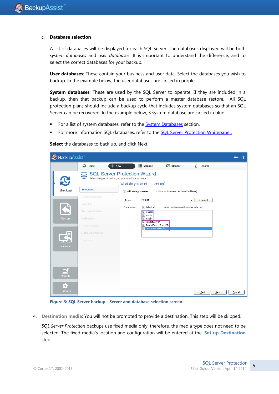#### c. **Database selection**

A list of databases will be displayed for each SQL Server. The databases displayed will be both *system databases* and *user databases*. It is important to understand the difference, and to select the correct databases for your backup.

**User databases**: These contain your business and user data. Select the databases you wish to backup. In the example below, the user databases are circled in purple.

**System databases**: These are used by the SQL Server to operate. If they are included in a backup, then that backup can be used to perform a master database restore. All SQL protection plans should include a backup cycle that includes system databases so that an SQL Server can be recovered. In the example below, 3 system database are circled in blue.

- For a list of system databases, refer to the **System Databases** section.
- For more information SQL databases, refer to the [SQL Server Protection Whitepaper.](http://www.backupassist.com/education/whitepapers/SQL_whitepaper.html)

**Select** the databases to back up, and click Next.



**Figure 3: SQL Server backup - Server and database selection screen**

4. **Destination media**: You will not be prompted to provide a destination. This step will be skipped.

*SQL Server Protection* backups use fixed media only, therefore, the media type does not need to be selected. The fixed media's location and configuration will be entered at the, **Set up Destination** step.

5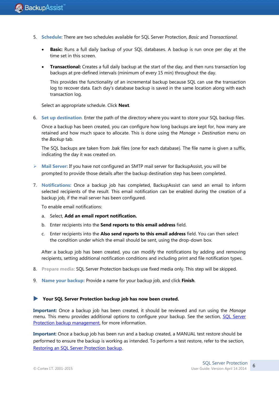- 5. **Schedule**: There are two schedules available for SQL Server Protection, *Basic* and *Transactional*.
	- **Basic:** Runs a full daily backup of your SQL databases. A backup is run once per day at the time set in this screen.
	- **Transactional:** Creates a full daily backup at the start of the day, and then runs transaction log backups at pre-defined intervals (minimum of every 15 min) throughout the day.

This provides the functionality of an incremental backup because SQL can use the transaction log to recover data. Each day's database backup is saved in the same location along with each transaction log.

Select an appropriate schedule. Click **Next**.

6. **Set up destination**. Enter the path of the directory where you want to store your SQL backup files.

Once a backup has been created, you can configure how long backups are kept for, how many are retained and how much space to allocate. This is done using the *Manage* > *Destination* menu on the *Backup* tab.

The SQL backups are taken from .bak files (one for each database). The file name is given a suffix, indicating the day it was created on.

- **Mail Server:** If you have not configured an SMTP mail server for BackupAssist, you will be prompted to provide those details after the backup destination step has been completed.
- 7. **Notifications:** Once a backup job has completed, BackupAssist can send an email to inform selected recipients of the result. This email notification can be enabled during the creation of a backup job, if the mail server has been configured.

To enable email notifications:

- a. Select, **Add an email report notification.**
- b. Enter recipients into the **Send reports to this email address** field.
- c. Enter recipients into the **Also send reports to this email address** field. You can then select the condition under which the email should be sent, using the drop-down box.

After a backup job has been created, you can modify the notifications by adding and removing recipients, setting additional notification conditions and including print and file notification types.

- 8. **Prepare media:** SQL Server Protection backups use fixed media only. This step will be skipped.
- 9. **Name your backup:** Provide a name for your backup job, and click **Finish**.

#### **Your SQL Server Protection backup job has now been created.**

**Important:** Once a backup job has been created, it should be reviewed and run using the *Manage* menu. This menu provides additional options to configure your backup. See the section, [SQL Server](#page-11-0)  [Protection backup management,](#page-11-0) for more information.

**Important**: Once a backup job has been run and a backup created, a MANUAL test restore should be performed to ensure the backup is working as intended. To perform a test restore, refer to the sectio[n,](#page-7-0) [Restoring an SQL Server Protection backup.](#page-7-0)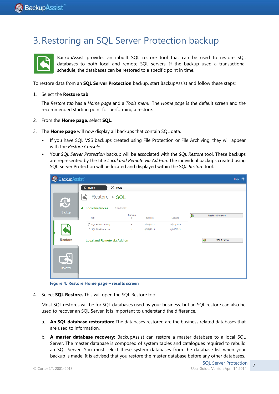# <span id="page-7-0"></span>3.Restoring an SQL Server Protection backup



BackupAssist provides an inbuilt SQL restore tool that can be used to restore SQL databases to both local and remote SQL servers. If the backup used a transactional schedule, the databases can be restored to a specific point in time.

To restore data from an **SQL Server Protection** backup, start BackupAssist and follow these steps:

#### 1. Select the **Restore tab**

The *Restore tab* has a *Home page* and a *Tools menu*. The *Home page* is the default screen and the recommended starting point for performing a restore.

- 2. From the **Home page**, select **SQL**.
- 3. The **Home page** will now display all backups that contain SQL data.
	- If you have SQL VSS backups created using File Protection or File Archiving, they will appear with the *Restore Console*.
	- Your *SQL Server Protection* backup will be associated with the *SQL Restore* tool. These backups are represented by the title *Local and Remote via Add-on*. The individual backups created using SQL Server Protection will be located and displayed within the S*QL Restore* tool.

| BackupAssist<br>$\overline{2}$<br>Help |                                                |              |           |            |   |                        |
|----------------------------------------|------------------------------------------------|--------------|-----------|------------|---|------------------------|
|                                        | $\mathbb{X}$ Tools<br>$\blacksquare$<br>Home   |              |           |            |   |                        |
| $\mathbf{C}$                           | Restore ▶ SQL                                  |              |           |            |   |                        |
|                                        | <b>Local Instances</b><br>$\blacktriangleleft$ | 6 backup(s)  |           |            |   |                        |
| Backup                                 | Job                                            | Backup<br>s  | Earliest  | Latests    | G | <b>Restore Console</b> |
|                                        | SQL File Archiving                             | 5            | 8/02/2013 | 14/02/2013 |   |                        |
|                                        | SQL File Protection                            | $\mathbf{1}$ | 8/02/2013 | 8/02/2013  |   |                        |
| <b>Restore</b>                         | <b>Local and Remote via Add-on</b>             |              |           |            |   | SQL Restore<br>o.      |
| $\mathbb{F}$<br>Recover                |                                                |              |           |            |   |                        |

**Figure 4: Restore Home page – results screen**

4. Select **SQL Restore.** This will open the SQL Restore tool.

Most SQL restores will be for SQL databases used by your business, but an SQL restore can also be used to recover an SQL Server. It is important to understand the difference.

- a. **An SQL database restoration:** The databases restored are the business related databases that are used to information.
- b. **A master database recovery:** BackupAssist can restore a master database to a local SQL Server. The master database is composed of system tables and catalogues required to rebuild an SQL Server. You must select these system databases from the database list when your backup is made. It is advised that you restore the master database before any other databases.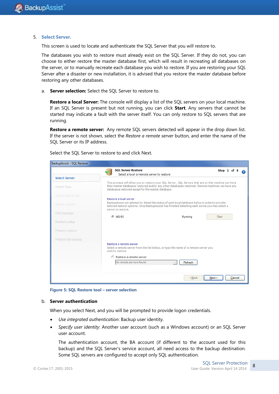#### 5. **Select Server.**

This screen is used to locate and authenticate the SQL Server that you will restore to.

The databases you wish to restore must already exist on the SQL Server. If they do not, you can choose to either restore the master database first, which will result in recreating all databases on the server, or to manually recreate each database you wish to restore. If you are restoring your SQL Server after a disaster or new installation, it is advised that you restore the master database before restoring any other databases.

a. **Server selection:** Select the SQL Server to restore to.

**Restore a local Server:** The console will display a list of the SQL servers on your local machine. If an SQL Server is present but not running, you can click **Start**. Any servers that cannot be started may indicate a fault with the server itself. You can only restore to SQL servers that are running.

**Restore a remote server:** Any remote SQL servers detected will appear in the drop down list. If the server is not shown, select the *Restore a remote server* button, and enter the name of the SQL Server or its IP address.

|                      | <b>SQL Server Restore</b>                          |                                                                                                                                                                                                            | Step 1 of 8<br>$\bullet$ |
|----------------------|----------------------------------------------------|------------------------------------------------------------------------------------------------------------------------------------------------------------------------------------------------------------|--------------------------|
| <b>Select Server</b> | Select a local or remote server to restore         |                                                                                                                                                                                                            |                          |
| Select Type          | databases restored except for the master database. | This process will allow you to restore your SQL Server. SQL Servers that are on this machine can have<br>their master databases restored and/or any other databases restored. Remote machines can have any |                          |
| Select backup file   |                                                    |                                                                                                                                                                                                            |                          |
| Master restore       | Restore a local server<br>server to restore.       | BackupAssist will attempt to detect the status of each local database below in order to provide<br>tailored restore options. Once BackupAssist has finished detecting each server you may select a         |                          |
| Find backups         | C WS-RI                                            |                                                                                                                                                                                                            | <b>Start</b>             |
| Restore setup        |                                                    | Running                                                                                                                                                                                                    |                          |
| Perform restore      |                                                    |                                                                                                                                                                                                            |                          |
| Perform full backup  |                                                    |                                                                                                                                                                                                            |                          |
|                      | Restore a remote server<br>wish to restore.        | Select a remote server from the list below, or type the name of a remote server you                                                                                                                        |                          |
|                      | C Restore a remote server                          |                                                                                                                                                                                                            |                          |
|                      | No remote servers found                            | Refresh                                                                                                                                                                                                    |                          |
|                      |                                                    | $<$ Back                                                                                                                                                                                                   | Next<br>Cancel           |

Select the SQL Server to restore to and click Next.

**Figure 5: SQL Restore tool – server selection**

#### b. **Server authentication**

When you select Next, and you will be prompted to provide logon credentials.

- *Use integrated authentication*: Backup user identity.
- *Specify user identity*: Another user account (such as a Windows account) or an SQL Server user account.

The authentication account, the BA account (if different to the account used for this backup) and the SQL Server's service account, all need access to the backup destination. Some SQL servers are configured to accept only SQL authentication.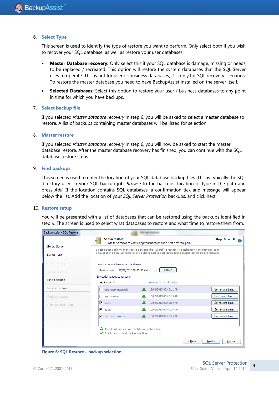#### 6. **Select Type**

This screen is used to identify the type of restore you want to perform. Only select both if you wish to recover your SQL database, as well as restore your user databases.

- **Master Database recovery:** Only select this if your SQL database is damage, missing or needs to be replaced / recreated. This option will restore the system databases that the SQL Server uses to operate. This is not for user or business databases; it is only for SQL recovery scenarios. To restore the master database you need to have BackupAssist installed on the server itself.
- **Selected Databases:** Select this option to restore your user / business databases to any point in time for which you have backups.

#### 7. **Select backup file**

If you selected *Master database recovery* in step 6, you will be asked to select a master database to restore. A list of backups containing master databases will be listed for selection.

#### 8. **Master restore**

If you selected *Master database recovery* in step 6, you will now be asked to start the master database restore. After the master database recovery has finished, you can continue with the SQL database restore steps.

#### 9. **Find backups**

This screen is used to enter the location of your SQL database backup files. This is typically the SQL directory used in your SQL backup job. *Browse* to the backups' location or type in the path and press *Add*. If the location contains SQL databases, a confirmation tick and message will appear below the list. Add the location of your *SQL Server Protection* backups, and click next.

#### 10. **Restore setup**

You will be presented with a list of databases that can be restored using the backups identified in step 9. The screen is used to select what databases to restore and what time to restore them from.

| BackupAssist - SQL Restore                                               |                                                                                                                                                        |                                                                        |                           |  |  |  |
|--------------------------------------------------------------------------|--------------------------------------------------------------------------------------------------------------------------------------------------------|------------------------------------------------------------------------|---------------------------|--|--|--|
|                                                                          | <b>Set up restore</b>                                                                                                                                  | Add the directories containing your backups and select a restore point | Step 6 of 8<br>$\sqrt{2}$ |  |  |  |
| Select Server                                                            | Select a date and time in the box below and click 'Search' to restore all databases to the same point in                                               |                                                                        |                           |  |  |  |
| Select Type                                                              | time, or click on the 'Set restore time' buttons next to each database to set the restore points manually.<br>Select a restore time for all databases: |                                                                        |                           |  |  |  |
| Select backup file                                                       |                                                                                                                                                        |                                                                        |                           |  |  |  |
| Search<br>22/02/2013 10:06:56 AM<br>Restore time:<br>▼<br>Master restore |                                                                                                                                                        |                                                                        |                           |  |  |  |
| <b>Find backups</b>                                                      | Select databases to restore:                                                                                                                           |                                                                        |                           |  |  |  |
|                                                                          | $\nabla$ Select all                                                                                                                                    | Nearest available time:                                                |                           |  |  |  |
| <b>Restore setup</b>                                                     | $\Box$ reportservertempdb                                                                                                                              | 15/02/2013 00:00:11 AM                                                 | Set restore time          |  |  |  |
| Perform restore                                                          | $\Box$ reportserver                                                                                                                                    | 15/02/2013 00:00:10 AM                                                 | Set restore time          |  |  |  |
| Perform full backup                                                      | $\nabla$ msdb                                                                                                                                          | 15/02/2013 00:00:09 AM                                                 | Set restore time          |  |  |  |
|                                                                          | $\nabla$ model                                                                                                                                         | 15/02/2013 00:00:08 AM                                                 | Set restore time          |  |  |  |
|                                                                          | $\nabla$ customer records                                                                                                                              | 15/02/2013 00:00:06 AM                                                 | Set restore time          |  |  |  |
|                                                                          |                                                                                                                                                        |                                                                        |                           |  |  |  |
|                                                                          | Could not find an exact match for Restore time                                                                                                         |                                                                        |                           |  |  |  |
|                                                                          | Exact match found for Restore time                                                                                                                     |                                                                        |                           |  |  |  |
| $Back$<br>Cancel<br>Next                                                 |                                                                                                                                                        |                                                                        |                           |  |  |  |

**Figure 6: SQL Restore – backup selection**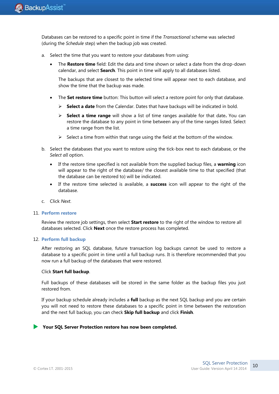Databases can be restored to a specific point in time if the *Transactional* scheme was selected (during the *Schedule* step) when the backup job was created.

- a. Select the time that you want to restore your databases from using:
	- The **Restore time** field: Edit the data and time shown or select a date from the drop-down calendar, and select **Search**. This point in time will apply to all databases listed.

The backups that are closest to the selected time will appear next to each database, and show the time that the backup was made.

- The **Set restore time** button: This button will select a restore point for only that database.
	- **Select a date** from the Calendar. Dates that have backups will be indicated in bold.
	- **Select a time range** will show a list of time ranges available for that date**.** You can restore the database to any point in time between any of the time ranges listed. Select a time range from the list.
	- $\triangleright$  Select a time from within that range using the field at the bottom of the window.
- b. Select the databases that you want to restore using the tick-box next to each database, or the *Select all* option.
	- If the restore time specified is not available from the supplied backup files, a **warning** icon will appear to the right of the database/ the closest available time to that specified (that the database can be restored to) will be indicated.
	- If the restore time selected is available, a **success** icon will appear to the right of the database.
- c. Click *Next*.

#### 11. **Perform restore**

Review the restore job settings, then select **Start restore** to the right of the window to restore all databases selected. Click **Next** once the restore process has completed.

#### 12. **Perform full backup**

After restoring an SQL database, future transaction log backups cannot be used to restore a database to a specific point in time until a full backup runs. It is therefore recommended that you now run a full backup of the databases that were restored.

#### Click **Start full backup**.

Full backups of these databases will be stored in the same folder as the backup files you just restored from.

If your backup schedule already includes a **full** backup as the next SQL backup and you are certain you will not need to restore these databases to a specific point in time between the restoration and the next full backup, you can check **Skip full backup** and click **Finish**.

#### **Your SQL Server Protection restore has now been completed.**